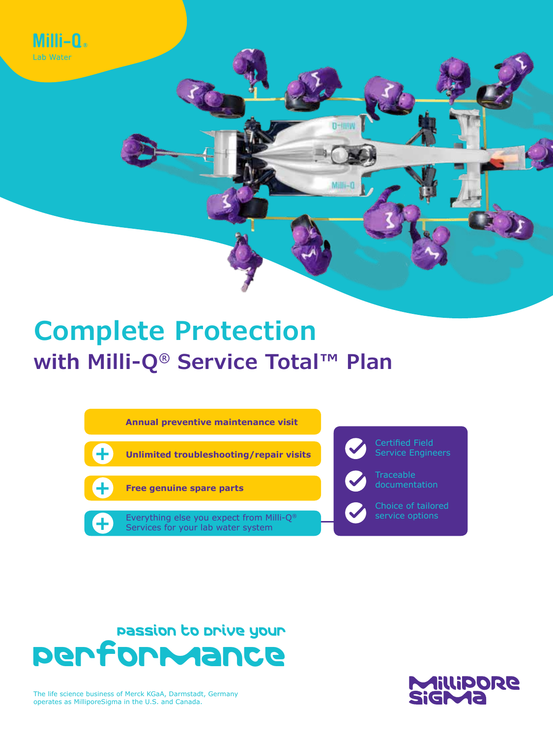

# **Complete Protection with Milli-Q® Service Total™ Plan**



Services for your lab water system

Passion to Drive your Performance

The life science business of Merck KGaA, Darmstadt, Germany operates as MilliporeSigma in the U.S. and Canada.



Certified Field Service Engineers

Choice of tailored service options

**Traceable** documentation